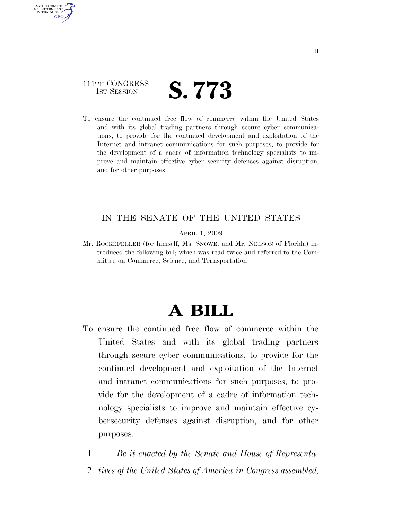### 111TH CONGRESS **IST SESSION S. 773**

AUTHENTICATED U.S. GOVERNMENT **GPO** 

> To ensure the continued free flow of commerce within the United States and with its global trading partners through secure cyber communications, to provide for the continued development and exploitation of the Internet and intranet communications for such purposes, to provide for the development of a cadre of information technology specialists to improve and maintain effective cyber security defenses against disruption, and for other purposes.

### IN THE SENATE OF THE UNITED STATES

APRIL 1, 2009

Mr. ROCKEFELLER (for himself, Ms. SNOWE, and Mr. NELSON of Florida) introduced the following bill; which was read twice and referred to the Committee on Commerce, Science, and Transportation

# **A BILL**

To ensure the continued free flow of commerce within the United States and with its global trading partners through secure cyber communications, to provide for the continued development and exploitation of the Internet and intranet communications for such purposes, to provide for the development of a cadre of information technology specialists to improve and maintain effective cybersecurity defenses against disruption, and for other purposes.

1 *Be it enacted by the Senate and House of Representa-*2 *tives of the United States of America in Congress assembled,*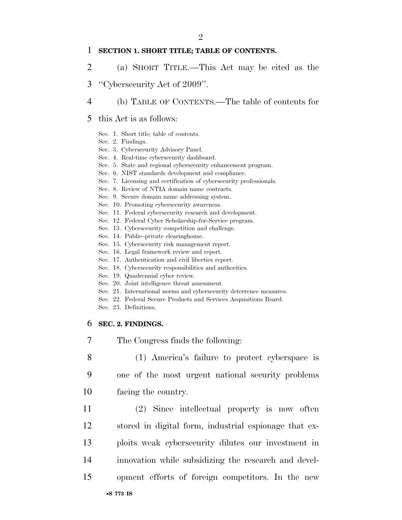#### 1 **SECTION 1. SHORT TITLE; TABLE OF CONTENTS.**

- 2 (a) SHORT TITLE.—This Act may be cited as the
- 3 ''Cybersecurity Act of 2009''.
- 4 (b) TABLE OF CONTENTS.—The table of contents for
- 5 this Act is as follows:
	- Sec. 1. Short title; table of contents.
	- Sec. 2. Findings.
	- Sec. 3. Cybersecurity Advisory Panel.
	- Sec. 4. Real-time cybersecurity dashboard.
	- Sec. 5. State and regional cybersecurity enhancement program.
	- Sec. 6. NIST standards development and compliance.
	- Sec. 7. Licensing and certification of cybersecurity professionals.
	- Sec. 8. Review of NTIA domain name contracts.
	- Sec. 9. Secure domain name addressing system.
	- Sec. 10. Promoting cybersecurity awareness.
	- Sec. 11. Federal cybersecurity research and development.
	- Sec. 12. Federal Cyber Scholarship-for-Service program.
	- Sec. 13. Cybersecurity competition and challenge.
	- Sec. 14. Public–private clearinghouse.
	- Sec. 15. Cybersecurity risk management report.
	- Sec. 16. Legal framework review and report.
	- Sec. 17. Authentication and civil liberties report.
	- Sec. 18. Cybersecurity responsibilities and authorities.
	- Sec. 19. Quadrennial cyber review.
	- Sec. 20. Joint intelligence threat assessment.
	- Sec. 21. International norms and cybersecurity deterrence measures.
	- Sec. 22. Federal Secure Products and Services Acquisitions Board.
	- Sec. 23. Definitions.

### 6 **SEC. 2. FINDINGS.**

- 7 The Congress finds the following:
- 8 (1) America's failure to protect cyberspace is 9 one of the most urgent national security problems 10 facing the country.
- 11 (2) Since intellectual property is now often 12 stored in digital form, industrial espionage that ex-13 ploits weak cybersecurity dilutes our investment in 14 innovation while subsidizing the research and devel-15 opment efforts of foreign competitors. In the new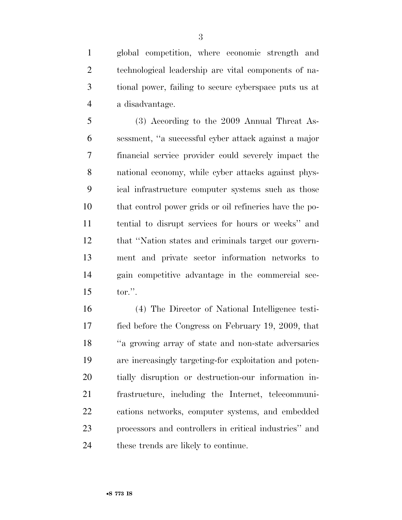global competition, where economic strength and technological leadership are vital components of na- tional power, failing to secure cyberspace puts us at a disadvantage.

 (3) According to the 2009 Annual Threat As- sessment, ''a successful cyber attack against a major financial service provider could severely impact the national economy, while cyber attacks against phys- ical infrastructure computer systems such as those that control power grids or oil refineries have the po- tential to disrupt services for hours or weeks'' and that ''Nation states and criminals target our govern- ment and private sector information networks to gain competitive advantage in the commercial sec-tor.''.

 (4) The Director of National Intelligence testi- fied before the Congress on February 19, 2009, that ''a growing array of state and non-state adversaries are increasingly targeting-for exploitation and poten- tially disruption or destruction-our information in- frastructure, including the Internet, telecommuni- cations networks, computer systems, and embedded processors and controllers in critical industries'' and 24 these trends are likely to continue.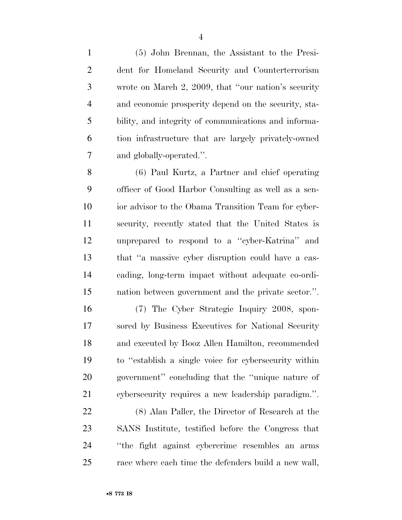(5) John Brennan, the Assistant to the Presi- dent for Homeland Security and Counterterrorism wrote on March 2, 2009, that ''our nation's security and economic prosperity depend on the security, sta- bility, and integrity of communications and informa- tion infrastructure that are largely privately-owned and globally-operated.''.

 (6) Paul Kurtz, a Partner and chief operating officer of Good Harbor Consulting as well as a sen- ior advisor to the Obama Transition Team for cyber- security, recently stated that the United States is unprepared to respond to a ''cyber-Katrina'' and that ''a massive cyber disruption could have a cas- cading, long-term impact without adequate co-ordi-nation between government and the private sector.''.

 (7) The Cyber Strategic Inquiry 2008, spon- sored by Business Executives for National Security and executed by Booz Allen Hamilton, recommended to ''establish a single voice for cybersecurity within government'' concluding that the ''unique nature of cybersecurity requires a new leadership paradigm.''.

 (8) Alan Paller, the Director of Research at the SANS Institute, testified before the Congress that ''the fight against cybercrime resembles an arms race where each time the defenders build a new wall,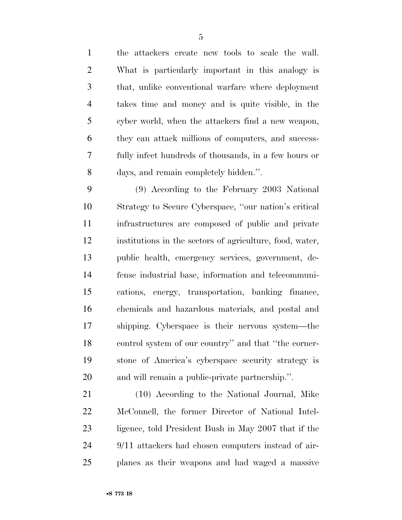the attackers create new tools to scale the wall. What is particularly important in this analogy is that, unlike conventional warfare where deployment takes time and money and is quite visible, in the cyber world, when the attackers find a new weapon, they can attack millions of computers, and success- fully infect hundreds of thousands, in a few hours or days, and remain completely hidden.''.

 (9) According to the February 2003 National Strategy to Secure Cyberspace, ''our nation's critical infrastructures are composed of public and private institutions in the sectors of agriculture, food, water, public health, emergency services, government, de- fense industrial base, information and telecommuni- cations, energy, transportation, banking finance, chemicals and hazardous materials, and postal and shipping. Cyberspace is their nervous system—the control system of our country'' and that ''the corner- stone of America's cyberspace security strategy is and will remain a public-private partnership.''.

 (10) According to the National Journal, Mike McConnell, the former Director of National Intel- ligence, told President Bush in May 2007 that if the 9/11 attackers had chosen computers instead of air-planes as their weapons and had waged a massive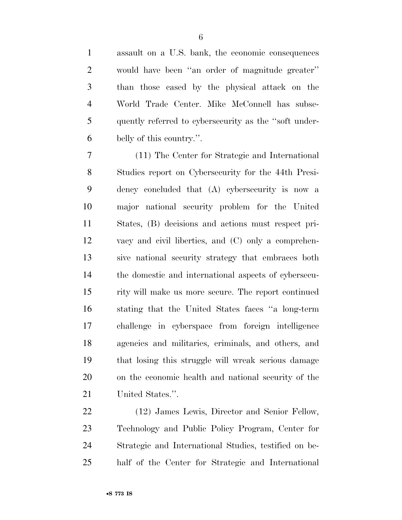assault on a U.S. bank, the economic consequences would have been ''an order of magnitude greater'' than those cased by the physical attack on the World Trade Center. Mike McConnell has subse- quently referred to cybersecurity as the ''soft under-belly of this country.''.

 (11) The Center for Strategic and International Studies report on Cybersecurity for the 44th Presi- dency concluded that (A) cybersecurity is now a major national security problem for the United States, (B) decisions and actions must respect pri- vacy and civil liberties, and (C) only a comprehen- sive national security strategy that embraces both the domestic and international aspects of cybersecu- rity will make us more secure. The report continued stating that the United States faces ''a long-term challenge in cyberspace from foreign intelligence agencies and militaries, criminals, and others, and that losing this struggle will wreak serious damage on the economic health and national security of the United States.''.

 (12) James Lewis, Director and Senior Fellow, Technology and Public Policy Program, Center for Strategic and International Studies, testified on be-half of the Center for Strategic and International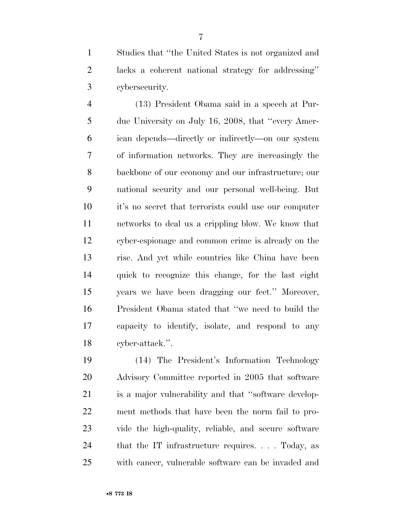Studies that ''the United States is not organized and lacks a coherent national strategy for addressing'' cybersecurity.

 (13) President Obama said in a speech at Pur- due University on July 16, 2008, that ''every Amer- ican depends—directly or indirectly—on our system of information networks. They are increasingly the backbone of our economy and our infrastructure; our national security and our personal well-being. But it's no secret that terrorists could use our computer networks to deal us a crippling blow. We know that cyber-espionage and common crime is already on the rise. And yet while countries like China have been quick to recognize this change, for the last eight years we have been dragging our feet.'' Moreover, President Obama stated that ''we need to build the capacity to identify, isolate, and respond to any cyber-attack.''.

 (14) The President's Information Technology Advisory Committee reported in 2005 that software is a major vulnerability and that ''software develop- ment methods that have been the norm fail to pro- vide the high-quality, reliable, and secure software that the IT infrastructure requires. . . . Today, as with cancer, vulnerable software can be invaded and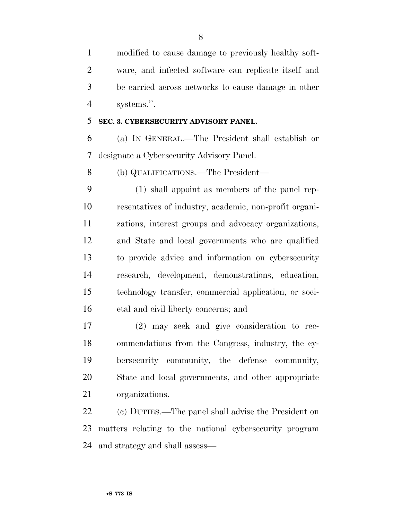modified to cause damage to previously healthy soft- ware, and infected software can replicate itself and be carried across networks to cause damage in other systems.''.

### **SEC. 3. CYBERSECURITY ADVISORY PANEL.**

 (a) IN GENERAL.—The President shall establish or designate a Cybersecurity Advisory Panel.

(b) QUALIFICATIONS.—The President—

 (1) shall appoint as members of the panel rep- resentatives of industry, academic, non-profit organi- zations, interest groups and advocacy organizations, and State and local governments who are qualified to provide advice and information on cybersecurity research, development, demonstrations, education, technology transfer, commercial application, or soci-etal and civil liberty concerns; and

 (2) may seek and give consideration to rec- ommendations from the Congress, industry, the cy- bersecurity community, the defense community, State and local governments, and other appropriate organizations.

 (c) DUTIES.—The panel shall advise the President on matters relating to the national cybersecurity program and strategy and shall assess—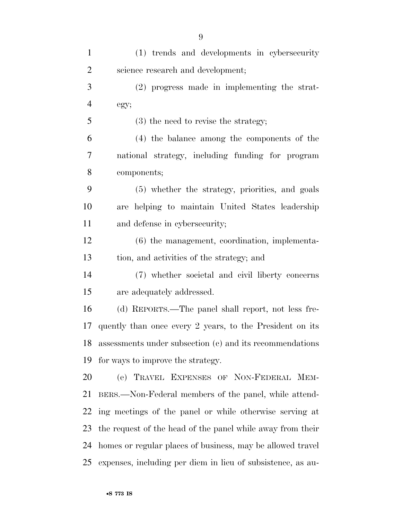| $\mathbf{1}$   | (1) trends and developments in cybersecurity                |
|----------------|-------------------------------------------------------------|
| $\overline{2}$ | science research and development;                           |
| 3              | $(2)$ progress made in implementing the strat-              |
| $\overline{4}$ | egy;                                                        |
| 5              | $(3)$ the need to revise the strategy;                      |
| 6              | (4) the balance among the components of the                 |
| 7              | national strategy, including funding for program            |
| 8              | components;                                                 |
| 9              | (5) whether the strategy, priorities, and goals             |
| 10             | are helping to maintain United States leadership            |
| 11             | and defense in cybersecurity;                               |
| 12             | $(6)$ the management, coordination, implementa-             |
| 13             | tion, and activities of the strategy; and                   |
| 14             | (7) whether societal and civil liberty concerns             |
| 15             | are adequately addressed.                                   |
| 16             | (d) REPORTS.—The panel shall report, not less fre-          |
| 17             | quently than once every 2 years, to the President on its    |
| 18             | assessments under subsection (c) and its recommendations    |
| 19             | for ways to improve the strategy.                           |
| 20             | (e) TRAVEL EXPENSES OF NON-FEDERAL MEM-                     |
| 21             | BERS.—Non-Federal members of the panel, while attend-       |
| 22             | ing meetings of the panel or while otherwise serving at     |
| 23             | the request of the head of the panel while away from their  |
| 24             | homes or regular places of business, may be allowed travel  |
| 25             | expenses, including per diem in lieu of subsistence, as au- |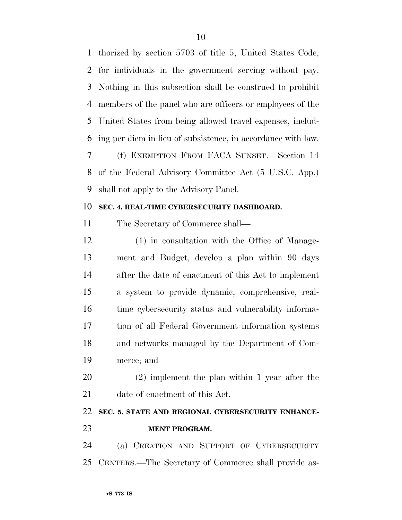thorized by section 5703 of title 5, United States Code, for individuals in the government serving without pay. Nothing in this subsection shall be construed to prohibit members of the panel who are officers or employees of the United States from being allowed travel expenses, includ- ing per diem in lieu of subsistence, in accordance with law. (f) EXEMPTION FROM FACA SUNSET.—Section 14 of the Federal Advisory Committee Act (5 U.S.C. App.) shall not apply to the Advisory Panel.

### **SEC. 4. REAL-TIME CYBERSECURITY DASHBOARD.**

The Secretary of Commerce shall—

 (1) in consultation with the Office of Manage- ment and Budget, develop a plan within 90 days after the date of enactment of this Act to implement a system to provide dynamic, comprehensive, real- time cybersecurity status and vulnerability informa- tion of all Federal Government information systems and networks managed by the Department of Com-merce; and

 (2) implement the plan within 1 year after the date of enactment of this Act.

## **SEC. 5. STATE AND REGIONAL CYBERSECURITY ENHANCE-MENT PROGRAM.**

 (a) CREATION AND SUPPORT OF CYBERSECURITY CENTERS.—The Secretary of Commerce shall provide as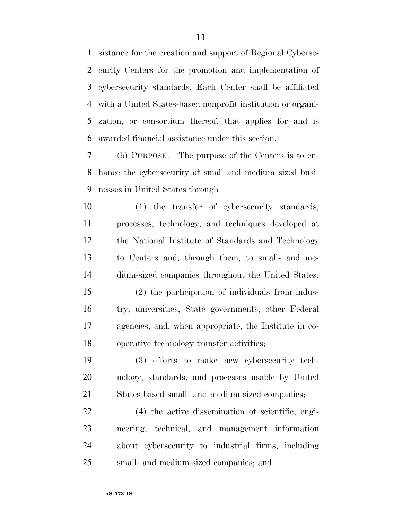sistance for the creation and support of Regional Cyberse- curity Centers for the promotion and implementation of cybersecurity standards. Each Center shall be affiliated with a United States-based nonprofit institution or organi- zation, or consortium thereof, that applies for and is awarded financial assistance under this section.

 (b) PURPOSE.—The purpose of the Centers is to en- hance the cybersecurity of small and medium sized busi-nesses in United States through—

 (1) the transfer of cybersecurity standards, processes, technology, and techniques developed at the National Institute of Standards and Technology to Centers and, through them, to small- and me-dium-sized companies throughout the United States;

 (2) the participation of individuals from indus- try, universities, State governments, other Federal agencies, and, when appropriate, the Institute in co-operative technology transfer activities;

 (3) efforts to make new cybersecurity tech- nology, standards, and processes usable by United States-based small- and medium-sized companies;

 (4) the active dissemination of scientific, engi- neering, technical, and management information about cybersecurity to industrial firms, including small- and medium-sized companies; and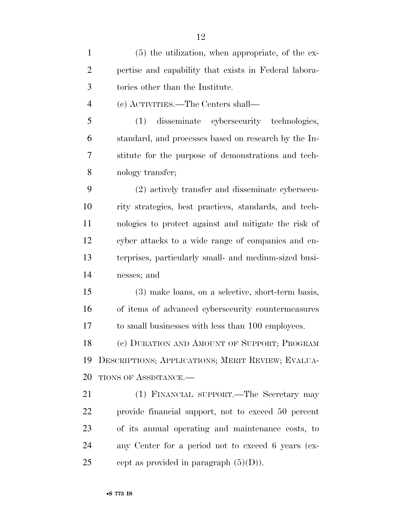| $\mathbf{1}$   | $(5)$ the utilization, when appropriate, of the ex-   |
|----------------|-------------------------------------------------------|
| $\overline{2}$ | pertise and capability that exists in Federal labora- |
| 3              | tories other than the Institute.                      |
| $\overline{4}$ | (c) ACTIVITIES.—The Centers shall—                    |
| 5              | disseminate cybersecurity technologies,<br>(1)        |
| 6              | standard, and processes based on research by the In-  |
| 7              | stitute for the purpose of demonstrations and tech-   |
| 8              | nology transfer;                                      |
| 9              | (2) actively transfer and disseminate cybersecu-      |
| 10             | rity strategies, best practices, standards, and tech- |
| 11             | nologies to protect against and mitigate the risk of  |
| 12             | cyber attacks to a wide range of companies and en-    |
| 13             | terprises, particularly small- and medium-sized busi- |
| 14             | nesses; and                                           |
| 15             | (3) make loans, on a selective, short-term basis,     |
| 16             | of items of advanced cybersecurity countermeasures    |
| 17             | to small businesses with less than 100 employees.     |
| 18             | (c) DURATION AND AMOUNT OF SUPPORT; PROGRAM           |
| 19             | DESCRIPTIONS; APPLICATIONS; MERIT REVIEW; EVALUA-     |
| 20             | TIONS OF ASSISTANCE.-                                 |
| 21             | (1) FINANCIAL SUPPORT.—The Secretary may              |
| 22             | provide financial support, not to exceed 50 percent   |
| 23             | of its annual operating and maintenance costs, to     |
| 24             | any Center for a period not to exceed 6 years (ex-    |
| 25             | cept as provided in paragraph $(5)(D)$ ).             |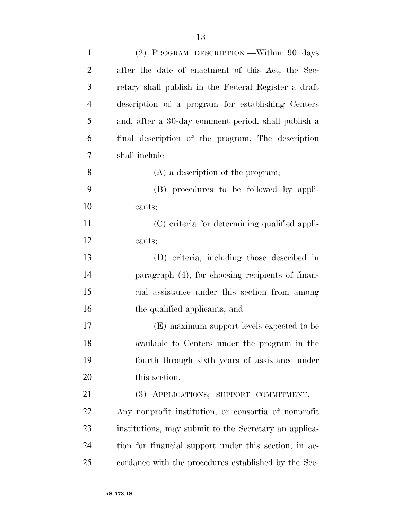| $\mathbf{1}$   | (2) PROGRAM DESCRIPTION.—Within 90 days               |
|----------------|-------------------------------------------------------|
| $\overline{2}$ | after the date of enactment of this Act, the Sec-     |
| 3              | retary shall publish in the Federal Register a draft  |
| $\overline{4}$ | description of a program for establishing Centers     |
| 5              | and, after a 30-day comment period, shall publish a   |
| 6              | final description of the program. The description     |
| 7              | shall include—                                        |
| 8              | $(A)$ a description of the program;                   |
| 9              | (B) procedures to be followed by appli-               |
| 10             | cants;                                                |
| 11             | (C) criteria for determining qualified appli-         |
| 12             | cants;                                                |
| 13             | (D) criteria, including those described in            |
| 14             | paragraph (4), for choosing recipients of finan-      |
| 15             | cial assistance under this section from among         |
| 16             | the qualified applicants; and                         |
| 17             | (E) maximum support levels expected to be             |
| 18             | available to Centers under the program in the         |
| 19             | fourth through sixth years of assistance under        |
| 20             | this section.                                         |
| 21             | (3) APPLICATIONS; SUPPORT COMMITMENT.                 |
| 22             | Any nonprofit institution, or consortia of nonprofit  |
| 23             | institutions, may submit to the Secretary an applica- |
| 24             | tion for financial support under this section, in ac- |
| 25             | cordance with the procedures established by the Sec-  |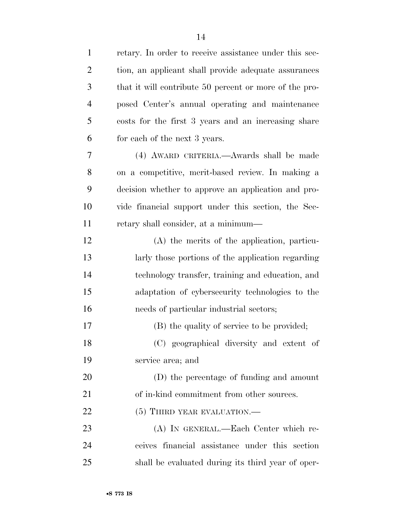| $\mathbf{1}$   | retary. In order to receive assistance under this sec- |
|----------------|--------------------------------------------------------|
| $\overline{2}$ | tion, an applicant shall provide adequate assurances   |
| 3              | that it will contribute 50 percent or more of the pro- |
| $\overline{4}$ | posed Center's annual operating and maintenance        |
| 5              | costs for the first 3 years and an increasing share    |
| 6              | for each of the next 3 years.                          |
| 7              | (4) AWARD CRITERIA.—Awards shall be made               |
| 8              | on a competitive, merit-based review. In making a      |
| 9              | decision whether to approve an application and pro-    |
| 10             | vide financial support under this section, the Sec-    |
| 11             | retary shall consider, at a minimum—                   |
| 12             | (A) the merits of the application, particu-            |
| 13             | larly those portions of the application regarding      |
| 14             | technology transfer, training and education, and       |
| 15             | adaptation of cybersecurity technologies to the        |
| 16             | needs of particular industrial sectors;                |
| 17             | (B) the quality of service to be provided;             |
| 18             | (C) geographical diversity and extent of               |
| 19             | service area; and                                      |
| 20             | (D) the percentage of funding and amount               |
| 21             | of in-kind commitment from other sources.              |
| 22             | (5) THIRD YEAR EVALUATION.—                            |
| 23             | (A) IN GENERAL.—Each Center which re-                  |
| 24             | ceives financial assistance under this section         |
| 25             | shall be evaluated during its third year of oper-      |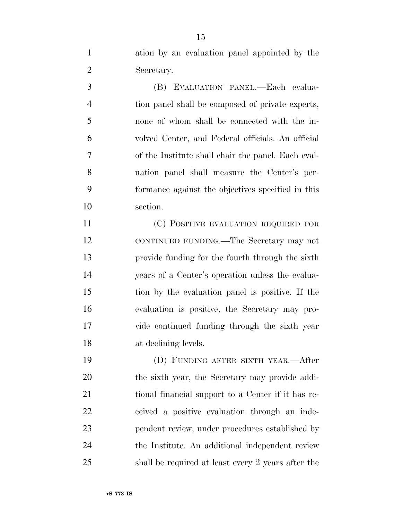ation by an evaluation panel appointed by the Secretary. (B) EVALUATION PANEL.—Each evalua- tion panel shall be composed of private experts, none of whom shall be connected with the in- volved Center, and Federal officials. An official of the Institute shall chair the panel. Each eval- uation panel shall measure the Center's per- formance against the objectives specified in this section. (C) POSITIVE EVALUATION REQUIRED FOR CONTINUED FUNDING.—The Secretary may not provide funding for the fourth through the sixth years of a Center's operation unless the evalua- tion by the evaluation panel is positive. If the evaluation is positive, the Secretary may pro- vide continued funding through the sixth year at declining levels. (D) FUNDING AFTER SIXTH YEAR.—After

 the sixth year, the Secretary may provide addi-21 tional financial support to a Center if it has re- ceived a positive evaluation through an inde- pendent review, under procedures established by the Institute. An additional independent review shall be required at least every 2 years after the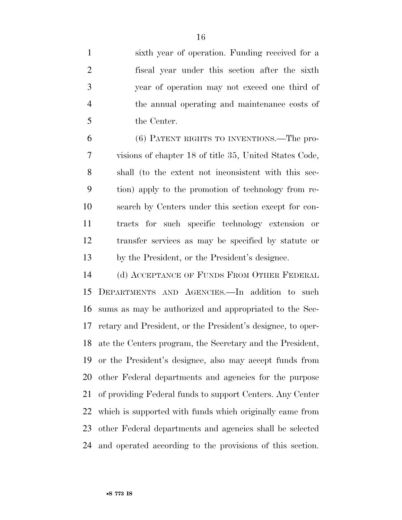sixth year of operation. Funding received for a fiscal year under this section after the sixth year of operation may not exceed one third of the annual operating and maintenance costs of the Center.

 (6) PATENT RIGHTS TO INVENTIONS.—The pro- visions of chapter 18 of title 35, United States Code, shall (to the extent not inconsistent with this sec- tion) apply to the promotion of technology from re- search by Centers under this section except for con- tracts for such specific technology extension or transfer services as may be specified by statute or by the President, or the President's designee.

 (d) ACCEPTANCE OF FUNDS FROM OTHER FEDERAL DEPARTMENTS AND AGENCIES.—In addition to such sums as may be authorized and appropriated to the Sec- retary and President, or the President's designee, to oper- ate the Centers program, the Secretary and the President, or the President's designee, also may accept funds from other Federal departments and agencies for the purpose of providing Federal funds to support Centers. Any Center which is supported with funds which originally came from other Federal departments and agencies shall be selected and operated according to the provisions of this section.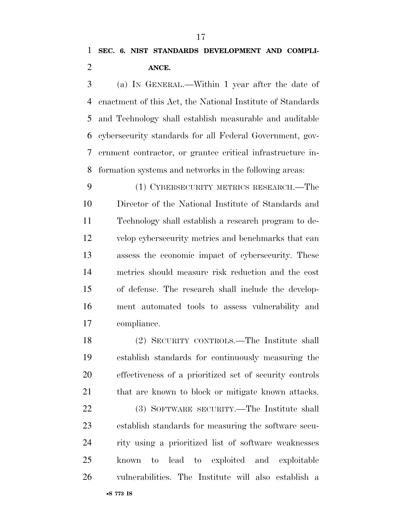(a) IN GENERAL.—Within 1 year after the date of enactment of this Act, the National Institute of Standards and Technology shall establish measurable and auditable cybersecurity standards for all Federal Government, gov- ernment contractor, or grantee critical infrastructure in-formation systems and networks in the following areas:

 (1) CYBERSECURITY METRICS RESEARCH.—The Director of the National Institute of Standards and Technology shall establish a research program to de- velop cybersecurity metrics and benchmarks that can assess the economic impact of cybersecurity. These metrics should measure risk reduction and the cost of defense. The research shall include the develop- ment automated tools to assess vulnerability and compliance.

 (2) SECURITY CONTROLS.—The Institute shall establish standards for continuously measuring the effectiveness of a prioritized set of security controls that are known to block or mitigate known attacks.

 (3) SOFTWARE SECURITY.—The Institute shall establish standards for measuring the software secu- rity using a prioritized list of software weaknesses known to lead to exploited and exploitable vulnerabilities. The Institute will also establish a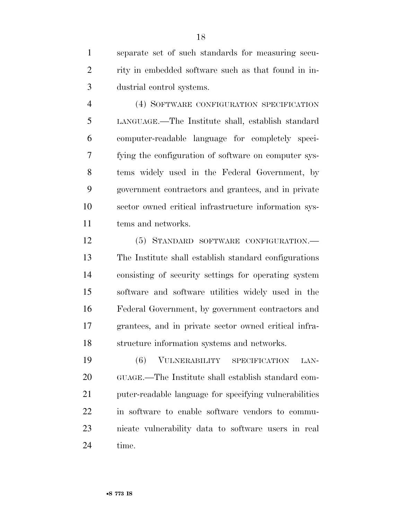separate set of such standards for measuring secu- rity in embedded software such as that found in in-dustrial control systems.

 (4) SOFTWARE CONFIGURATION SPECIFICATION LANGUAGE.—The Institute shall, establish standard computer-readable language for completely speci- fying the configuration of software on computer sys- tems widely used in the Federal Government, by government contractors and grantees, and in private sector owned critical infrastructure information sys-tems and networks.

 (5) STANDARD SOFTWARE CONFIGURATION.— The Institute shall establish standard configurations consisting of security settings for operating system software and software utilities widely used in the Federal Government, by government contractors and grantees, and in private sector owned critical infra-structure information systems and networks.

 (6) VULNERABILITY SPECIFICATION LAN- GUAGE.—The Institute shall establish standard com- puter-readable language for specifying vulnerabilities in software to enable software vendors to commu- nicate vulnerability data to software users in real time.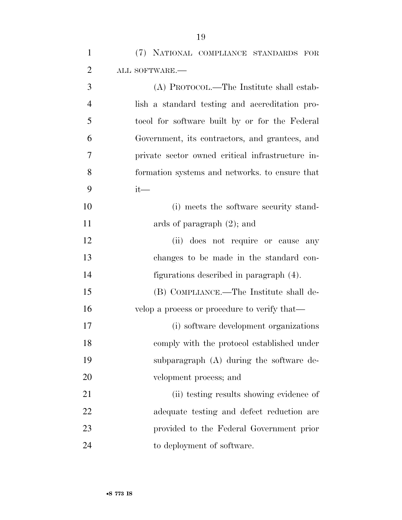(7) NATIONAL COMPLIANCE STANDARDS FOR ALL SOFTWARE.— (A) PROTOCOL.—The Institute shall estab- lish a standard testing and accreditation pro- tocol for software built by or for the Federal Government, its contractors, and grantees, and private sector owned critical infrastructure in- formation systems and networks. to ensure that it— 10 (i) meets the software security stand-11 ards of paragraph  $(2)$ ; and (ii) does not require or cause any changes to be made in the standard con- figurations described in paragraph (4). (B) COMPLIANCE.—The Institute shall de-16 velop a process or procedure to verify that— (i) software development organizations comply with the protocol established under subparagraph (A) during the software de- velopment process; and 21 (ii) testing results showing evidence of adequate testing and defect reduction are provided to the Federal Government prior to deployment of software.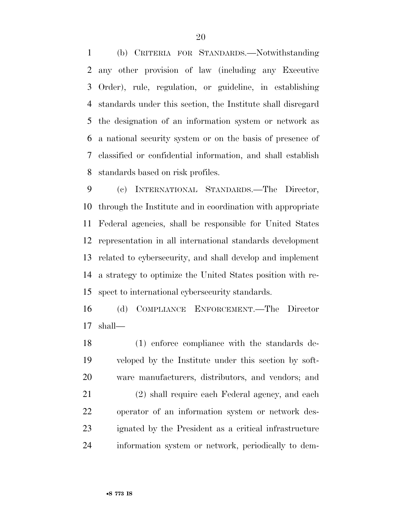(b) CRITERIA FOR STANDARDS.—Notwithstanding any other provision of law (including any Executive Order), rule, regulation, or guideline, in establishing standards under this section, the Institute shall disregard the designation of an information system or network as a national security system or on the basis of presence of classified or confidential information, and shall establish standards based on risk profiles.

 (c) INTERNATIONAL STANDARDS.—The Director, through the Institute and in coordination with appropriate Federal agencies, shall be responsible for United States representation in all international standards development related to cybersecurity, and shall develop and implement a strategy to optimize the United States position with re-spect to international cybersecurity standards.

 (d) COMPLIANCE ENFORCEMENT.—The Director shall—

 (1) enforce compliance with the standards de- veloped by the Institute under this section by soft-ware manufacturers, distributors, and vendors; and

 (2) shall require each Federal agency, and each operator of an information system or network des- ignated by the President as a critical infrastructure information system or network, periodically to dem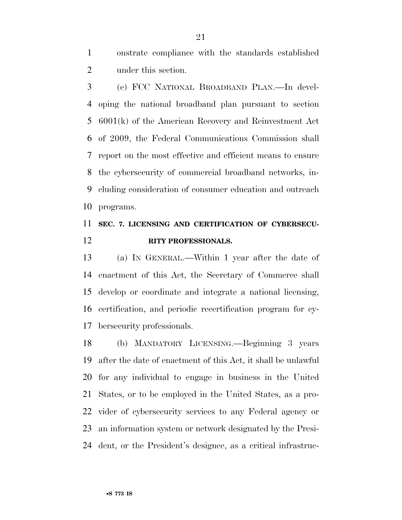onstrate compliance with the standards established under this section.

 (e) FCC NATIONAL BROADBAND PLAN.—In devel- oping the national broadband plan pursuant to section 6001(k) of the American Recovery and Reinvestment Act of 2009, the Federal Communications Commission shall report on the most effective and efficient means to ensure the cybersecurity of commercial broadband networks, in- cluding consideration of consumer education and outreach programs.

## **SEC. 7. LICENSING AND CERTIFICATION OF CYBERSECU-RITY PROFESSIONALS.**

 (a) IN GENERAL.—Within 1 year after the date of enactment of this Act, the Secretary of Commerce shall develop or coordinate and integrate a national licensing, certification, and periodic recertification program for cy-bersecurity professionals.

 (b) MANDATORY LICENSING.—Beginning 3 years after the date of enactment of this Act, it shall be unlawful for any individual to engage in business in the United States, or to be employed in the United States, as a pro- vider of cybersecurity services to any Federal agency or an information system or network designated by the Presi-dent, or the President's designee, as a critical infrastruc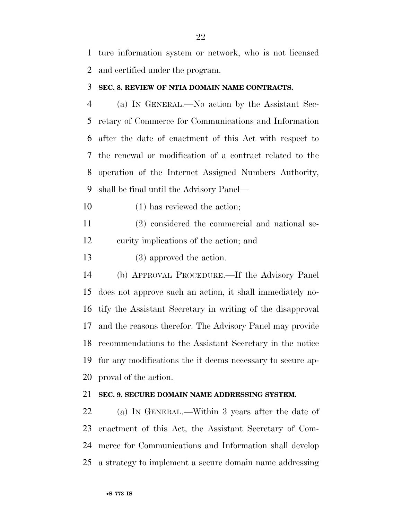ture information system or network, who is not licensed and certified under the program.

### **SEC. 8. REVIEW OF NTIA DOMAIN NAME CONTRACTS.**

 (a) IN GENERAL.—No action by the Assistant Sec- retary of Commerce for Communications and Information after the date of enactment of this Act with respect to the renewal or modification of a contract related to the operation of the Internet Assigned Numbers Authority, shall be final until the Advisory Panel—

(1) has reviewed the action;

 (2) considered the commercial and national se-curity implications of the action; and

13 (3) approved the action.

 (b) APPROVAL PROCEDURE.—If the Advisory Panel does not approve such an action, it shall immediately no- tify the Assistant Secretary in writing of the disapproval and the reasons therefor. The Advisory Panel may provide recommendations to the Assistant Secretary in the notice for any modifications the it deems necessary to secure ap-proval of the action.

### **SEC. 9. SECURE DOMAIN NAME ADDRESSING SYSTEM.**

 (a) IN GENERAL.—Within 3 years after the date of enactment of this Act, the Assistant Secretary of Com- merce for Communications and Information shall develop a strategy to implement a secure domain name addressing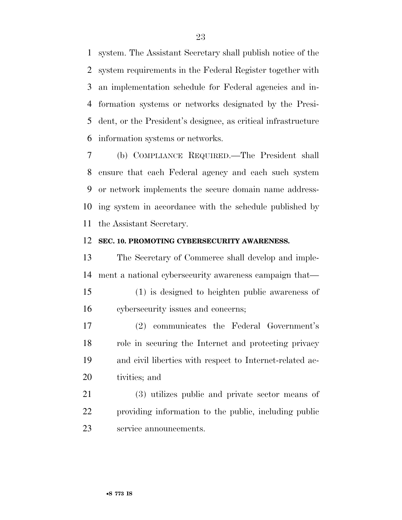system. The Assistant Secretary shall publish notice of the system requirements in the Federal Register together with an implementation schedule for Federal agencies and in- formation systems or networks designated by the Presi- dent, or the President's designee, as critical infrastructure information systems or networks.

 (b) COMPLIANCE REQUIRED.—The President shall ensure that each Federal agency and each such system or network implements the secure domain name address- ing system in accordance with the schedule published by the Assistant Secretary.

### **SEC. 10. PROMOTING CYBERSECURITY AWARENESS.**

 The Secretary of Commerce shall develop and imple-ment a national cybersecurity awareness campaign that—

- (1) is designed to heighten public awareness of cybersecurity issues and concerns;
- (2) communicates the Federal Government's role in securing the Internet and protecting privacy and civil liberties with respect to Internet-related ac-tivities; and

 (3) utilizes public and private sector means of providing information to the public, including public service announcements.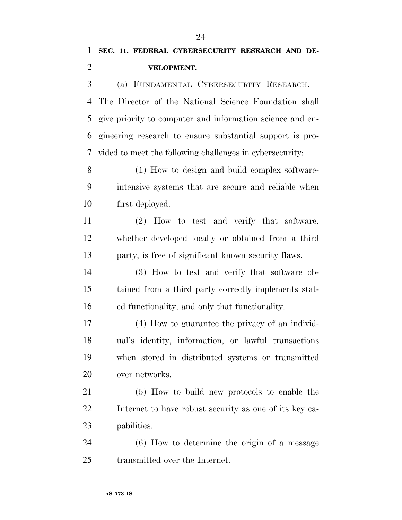(a) FUNDAMENTAL CYBERSECURITY RESEARCH.— The Director of the National Science Foundation shall give priority to computer and information science and en- gineering research to ensure substantial support is pro-vided to meet the following challenges in cybersecurity:

 (1) How to design and build complex software- intensive systems that are secure and reliable when first deployed.

 (2) How to test and verify that software, whether developed locally or obtained from a third party, is free of significant known security flaws.

 (3) How to test and verify that software ob- tained from a third party correctly implements stat-ed functionality, and only that functionality.

 (4) How to guarantee the privacy of an individ- ual's identity, information, or lawful transactions when stored in distributed systems or transmitted over networks.

 (5) How to build new protocols to enable the Internet to have robust security as one of its key ca-pabilities.

 (6) How to determine the origin of a message transmitted over the Internet.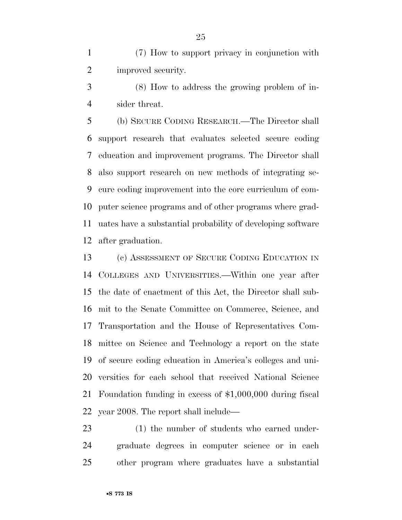(7) How to support privacy in conjunction with improved security.

 (8) How to address the growing problem of in-sider threat.

 (b) SECURE CODING RESEARCH.—The Director shall support research that evaluates selected secure coding education and improvement programs. The Director shall also support research on new methods of integrating se- cure coding improvement into the core curriculum of com- puter science programs and of other programs where grad- uates have a substantial probability of developing software after graduation.

 (c) ASSESSMENT OF SECURE CODING EDUCATION IN COLLEGES AND UNIVERSITIES.—Within one year after the date of enactment of this Act, the Director shall sub- mit to the Senate Committee on Commerce, Science, and Transportation and the House of Representatives Com- mittee on Science and Technology a report on the state of secure coding education in America's colleges and uni- versities for each school that received National Science Foundation funding in excess of \$1,000,000 during fiscal year 2008. The report shall include—

 (1) the number of students who earned under- graduate degrees in computer science or in each other program where graduates have a substantial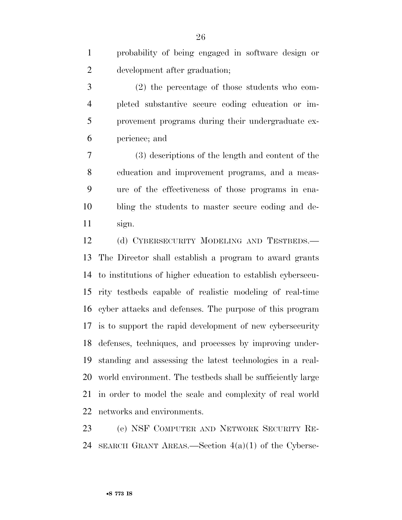probability of being engaged in software design or development after graduation;

 (2) the percentage of those students who com- pleted substantive secure coding education or im- provement programs during their undergraduate ex-perience; and

 (3) descriptions of the length and content of the education and improvement programs, and a meas- ure of the effectiveness of those programs in ena- bling the students to master secure coding and de-sign.

12 (d) CYBERSECURITY MODELING AND TESTBEDS.— The Director shall establish a program to award grants to institutions of higher education to establish cybersecu- rity testbeds capable of realistic modeling of real-time cyber attacks and defenses. The purpose of this program is to support the rapid development of new cybersecurity defenses, techniques, and processes by improving under- standing and assessing the latest technologies in a real- world environment. The testbeds shall be sufficiently large in order to model the scale and complexity of real world networks and environments.

 (e) NSF COMPUTER AND NETWORK SECURITY RE-24 SEARCH GRANT AREAS.—Section  $4(a)(1)$  of the Cyberse-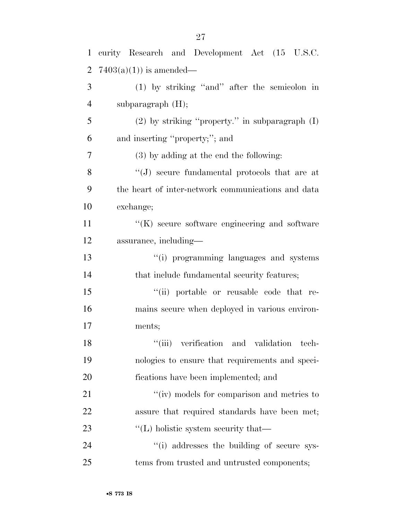| $\mathbf{1}$   | curity Research and Development Act (15 U.S.C.        |
|----------------|-------------------------------------------------------|
| $\overline{2}$ | $7403(a)(1)$ is amended—                              |
| 3              | $(1)$ by striking "and" after the semicolon in        |
| $\overline{4}$ | subparagraph $(H)$ ;                                  |
| 5              | $(2)$ by striking "property." in subparagraph $(I)$   |
| 6              | and inserting "property;"; and                        |
| 7              | $(3)$ by adding at the end the following:             |
| 8              | "(J) secure fundamental protocols that are at         |
| 9              | the heart of inter-network communications and data    |
| 10             | exchange;                                             |
| 11             | $\lq\lq(K)$ secure software engineering and software  |
| 12             | assurance, including—                                 |
| 13             | "(i) programming languages and systems                |
| 14             | that include fundamental security features;           |
| 15             | "(ii) portable or reusable code that re-              |
| 16             | mains secure when deployed in various environ-        |
| 17             | ments;                                                |
| 18             | "(iii) verification and validation tech-              |
| 19             | nologies to ensure that requirements and speci-       |
| 20             | fications have been implemented; and                  |
| 21             | "(iv) models for comparison and metrics to            |
| 22             | assure that required standards have been met;         |
| 23             | $\lq$ <sup>"</sup> (L) holistic system security that— |
| 24             | "(i) addresses the building of secure sys-            |
| 25             | tems from trusted and untrusted components;           |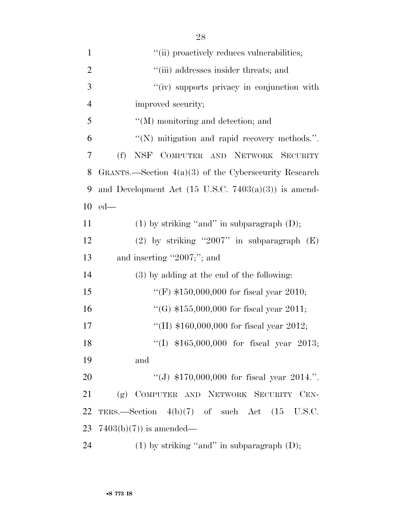| $\mathbf{1}$   | "(ii) proactively reduces vulnerabilities;                      |
|----------------|-----------------------------------------------------------------|
| $\overline{2}$ | "(iii) addresses insider threats; and                           |
| 3              | "(iv) supports privacy in conjunction with                      |
| $\overline{4}$ | improved security;                                              |
| 5              | "(M) monitoring and detection; and                              |
| 6              | "(N) mitigation and rapid recovery methods.".                   |
| 7              | (f)<br>NSF COMPUTER AND NETWORK SECURITY                        |
| 8              | GRANTS.—Section $4(a)(3)$ of the Cybersecurity Research         |
| 9              | and Development Act $(15 \text{ U.S.C. } 7403(a)(3))$ is amend- |
| 10             | $ed$ —                                                          |
| 11             | $(1)$ by striking "and" in subparagraph $(D)$ ;                 |
| 12             | (2) by striking "2007" in subparagraph $(E)$                    |
| 13             | and inserting "2007;"; and                                      |
| 14             | (3) by adding at the end of the following:                      |
| 15             | "(F) $$150,000,000$ for fiscal year 2010;                       |
| 16             | "(G) $$155,000,000$ for fiscal year 2011;                       |
| 17             | "(H) $$160,000,000$ for fiscal year 2012;                       |
| 18             | "(I) $$165,000,000$ for fiscal year 2013;                       |
| 19             | and                                                             |
| 20             | "(J) $$170,000,000$ for fiscal year 2014.".                     |
| 21             | (g) COMPUTER AND NETWORK SECURITY CEN-                          |
| 22             | TERS.—Section $4(b)(7)$ of such Act $(15 \text{ U.S.C.})$       |
| 23             | $7403(b)(7)$ is amended—                                        |
| 24             | $(1)$ by striking "and" in subparagraph $(D)$ ;                 |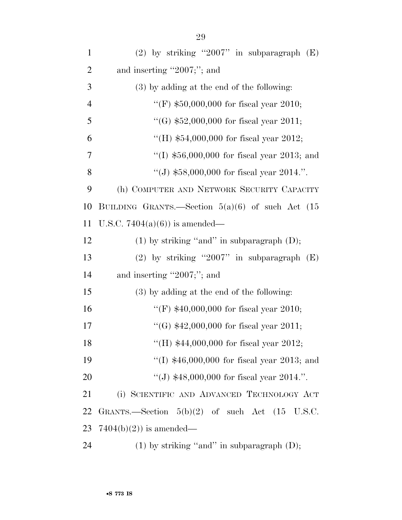| $\mathbf{1}$   | (2) by striking "2007" in subparagraph $(E)$                |
|----------------|-------------------------------------------------------------|
| $\overline{2}$ | and inserting "2007;"; and                                  |
| 3              | (3) by adding at the end of the following:                  |
| $\overline{4}$ | "(F) $$50,000,000$ for fiscal year 2010;                    |
| 5              | "(G) $$52,000,000$ for fiscal year 2011;                    |
| 6              | "(H) $$54,000,000$ for fiscal year 2012;                    |
| 7              | "(I) $$56,000,000$ for fiscal year 2013; and                |
| 8              | "(J) $$58,000,000$ for fiscal year 2014.".                  |
| 9              | (h) COMPUTER AND NETWORK SECURITY CAPACITY                  |
| 10             | BUILDING GRANTS.—Section $5(a)(6)$ of such Act $(15)$       |
| 11             | U.S.C. 7404(a)(6)) is amended—                              |
| 12             | $(1)$ by striking "and" in subparagraph $(D)$ ;             |
| 13             | (2) by striking "2007" in subparagraph $(E)$                |
| 14             | and inserting "2007;"; and                                  |
| 15             | (3) by adding at the end of the following:                  |
| 16             | "(F) $$40,000,000$ for fiscal year 2010;                    |
| 17             | "(G) $$42,000,000$ for fiscal year 2011;                    |
| 18             | "(H) $$44,000,000$ for fiscal year 2012;                    |
| 19             | "(I) $$46,000,000$ for fiscal year 2013; and                |
| 20             | "(J) $$48,000,000$ for fiscal year 2014.".                  |
| 21             | (i) SCIENTIFIC AND ADVANCED TECHNOLOGY ACT                  |
| 22             | GRANTS.—Section $5(b)(2)$ of such Act $(15 \text{ U.S.C.})$ |
| 23             | $7404(b)(2)$ is amended—                                    |
| 24             | $(1)$ by striking "and" in subparagraph $(D)$ ;             |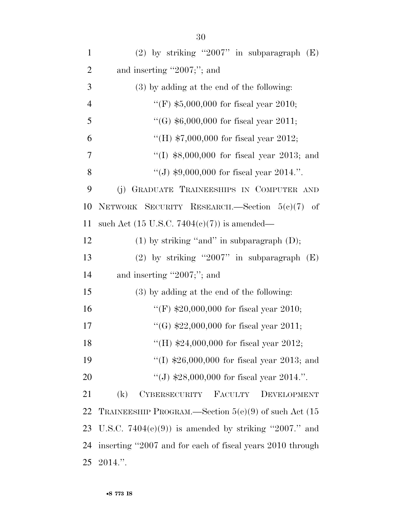| $\mathbf{1}$   | (2) by striking "2007" in subparagraph $(E)$              |
|----------------|-----------------------------------------------------------|
| $\overline{2}$ | and inserting "2007;"; and                                |
| 3              | (3) by adding at the end of the following:                |
| $\overline{4}$ | "(F) $$5,000,000$ for fiscal year 2010;                   |
| 5              | "(G) $$6,000,000$ for fiscal year 2011;                   |
| 6              | "(H) $$7,000,000$ for fiscal year 2012;                   |
| 7              | "(I) $$8,000,000$ for fiscal year 2013; and               |
| 8              | "(J) $$9,000,000$ for fiscal year 2014.".                 |
| 9              | GRADUATE TRAINEESHIPS IN COMPUTER AND<br>(j)              |
| 10             | NETWORK SECURITY RESEARCH.-Section $5(e)(7)$ of           |
| 11             | such Act $(15 \text{ U.S.C. } 7404(e)(7))$ is amended—    |
| 12             | $(1)$ by striking "and" in subparagraph $(D)$ ;           |
| 13             | (2) by striking "2007" in subparagraph $(E)$              |
| 14             | and inserting "2007;"; and                                |
| 15             | (3) by adding at the end of the following:                |
| 16             | "(F) $$20,000,000$ for fiscal year 2010;                  |
| 17             | "(G) $$22,000,000$ for fiscal year 2011;                  |
| 18             | "(H) $$24,000,000$ for fiscal year 2012;                  |
| 19             | "(I) $$26,000,000$ for fiscal year 2013; and              |
| 20             | "(J) $$28,000,000$ for fiscal year 2014.".                |
| 21             | CYBERSECURITY<br>FACULTY<br>(k)<br>DEVELOPMENT            |
| 22             | TRAINEESHIP PROGRAM.—Section $5(e)(9)$ of such Act (15    |
| 23             | U.S.C. $7404(e)(9)$ is amended by striking "2007." and    |
| 24             | inserting "2007 and for each of fiscal years 2010 through |
| 25             | $2014."$ .                                                |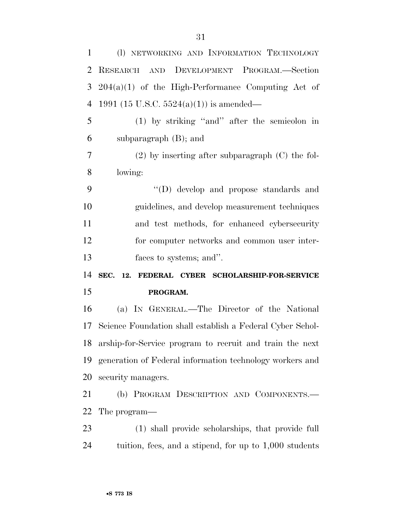| $\mathbf{1}$   | (I) NETWORKING AND INFORMATION TECHNOLOGY                 |
|----------------|-----------------------------------------------------------|
| 2              | RESEARCH AND DEVELOPMENT PROGRAM.-Section                 |
| 3              | $204(a)(1)$ of the High-Performance Computing Act of      |
| $\overline{4}$ | 1991 (15 U.S.C. 5524(a)(1)) is amended—                   |
| 5              | $(1)$ by striking "and" after the semicolon in            |
| 6              | subparagraph $(B)$ ; and                                  |
| 7              | $(2)$ by inserting after subparagraph $(C)$ the fol-      |
| 8              | lowing:                                                   |
| 9              | "(D) develop and propose standards and                    |
| 10             | guidelines, and develop measurement techniques            |
| 11             | and test methods, for enhanced cybersecurity              |
| 12             | for computer networks and common user inter-              |
|                |                                                           |
| 13             | faces to systems; and".                                   |
| 14             | SEC.<br>12. FEDERAL CYBER SCHOLARSHIP-FOR-SERVICE         |
| 15             | PROGRAM.                                                  |
| 16             | (a) IN GENERAL.—The Director of the National              |
| 17             | Science Foundation shall establish a Federal Cyber Schol- |
| 18             | arship-for-Service program to recruit and train the next  |
| 19             | generation of Federal information technology workers and  |
| 20             | security managers.                                        |
| 21             | (b) PROGRAM DESCRIPTION AND COMPONENTS.-                  |
| 22             | The program—                                              |
| 23             | (1) shall provide scholarships, that provide full         |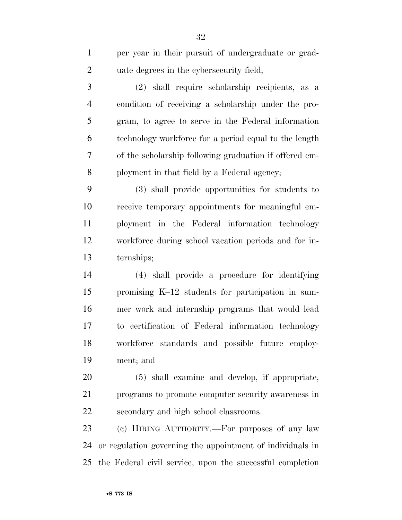| $\mathbf{1}$   | per year in their pursuit of undergraduate or grad-       |
|----------------|-----------------------------------------------------------|
| $\overline{2}$ | uate degrees in the cybers ecurity field;                 |
| 3              | (2) shall require scholarship recipients, as a            |
| $\overline{4}$ | condition of receiving a scholarship under the pro-       |
| $\mathfrak{S}$ | gram, to agree to serve in the Federal information        |
| 6              | technology workforce for a period equal to the length     |
| 7              | of the scholarship following graduation if offered em-    |
| 8              | ployment in that field by a Federal agency;               |
| 9              | (3) shall provide opportunities for students to           |
| 10             | receive temporary appointments for meaningful em-         |
| 11             | ployment in the Federal information technology            |
| 12             | workforce during school vacation periods and for in-      |
| 13             | ternships;                                                |
| 14             | (4) shall provide a procedure for identifying             |
| 15             | promising K-12 students for participation in sum-         |
| 16             | mer work and internship programs that would lead          |
| 17             | to certification of Federal information technology        |
| 18             | workforce standards and possible future employ-           |
| 19             | ment; and                                                 |
| 20             | (5) shall examine and develop, if appropriate,            |
| 21             | programs to promote computer security awareness in        |
| 22             | secondary and high school classrooms.                     |
| 23             | (c) HIRING AUTHORITY.—For purposes of any law             |
| 24             | or regulation governing the appointment of individuals in |

the Federal civil service, upon the successful completion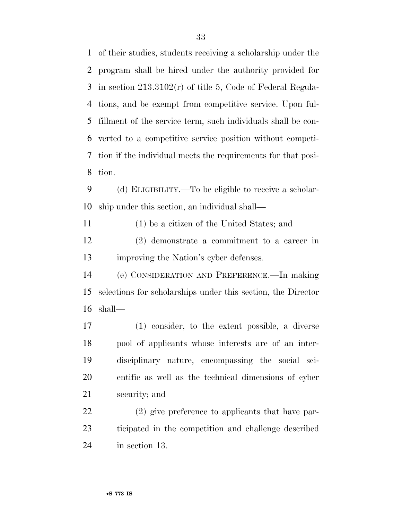of their studies, students receiving a scholarship under the program shall be hired under the authority provided for in section 213.3102(r) of title 5, Code of Federal Regula- tions, and be exempt from competitive service. Upon ful- fillment of the service term, such individuals shall be con- verted to a competitive service position without competi- tion if the individual meets the requirements for that posi-tion.

 (d) ELIGIBILITY.—To be eligible to receive a scholar-ship under this section, an individual shall—

(1) be a citizen of the United States; and

 (2) demonstrate a commitment to a career in improving the Nation's cyber defenses.

 (e) CONSIDERATION AND PREFERENCE.—In making selections for scholarships under this section, the Director shall—

 (1) consider, to the extent possible, a diverse pool of applicants whose interests are of an inter- disciplinary nature, encompassing the social sci- entific as well as the technical dimensions of cyber security; and

 (2) give preference to applicants that have par- ticipated in the competition and challenge described in section 13.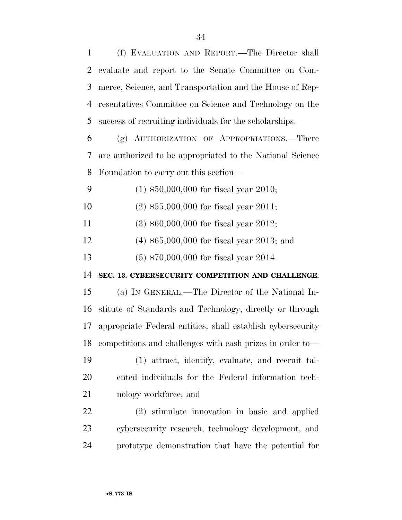(f) EVALUATION AND REPORT.—The Director shall evaluate and report to the Senate Committee on Com- merce, Science, and Transportation and the House of Rep- resentatives Committee on Science and Technology on the success of recruiting individuals for the scholarships. (g) AUTHORIZATION OF APPROPRIATIONS.—There are authorized to be appropriated to the National Science Foundation to carry out this section— (1) \$50,000,000 for fiscal year 2010; (2) \$55,000,000 for fiscal year 2011; (3) \$60,000,000 for fiscal year 2012; (4) \$65,000,000 for fiscal year 2013; and (5) \$70,000,000 for fiscal year 2014. **SEC. 13. CYBERSECURITY COMPETITION AND CHALLENGE.**  (a) IN GENERAL.—The Director of the National In- stitute of Standards and Technology, directly or through appropriate Federal entities, shall establish cybersecurity competitions and challenges with cash prizes in order to— (1) attract, identify, evaluate, and recruit tal- ented individuals for the Federal information tech-21 nology workforce; and (2) stimulate innovation in basic and applied cybersecurity research, technology development, and prototype demonstration that have the potential for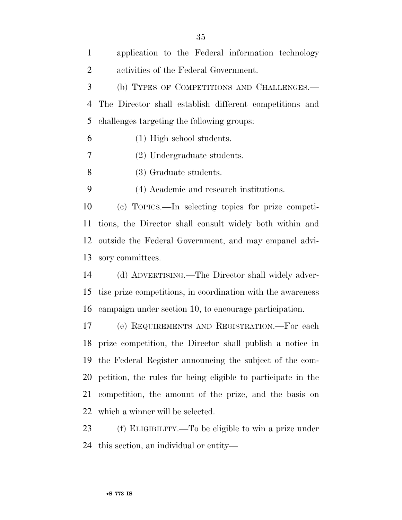| $\mathbf{1}$   | application to the Federal information technology            |
|----------------|--------------------------------------------------------------|
| $\overline{2}$ | activities of the Federal Government.                        |
| 3              | (b) TYPES OF COMPETITIONS AND CHALLENGES.—                   |
| $\overline{4}$ | The Director shall establish different competitions and      |
| 5              | challenges targeting the following groups:                   |
| 6              | (1) High school students.                                    |
| 7              | (2) Undergraduate students.                                  |
| 8              | (3) Graduate students.                                       |
| 9              | (4) Academic and research institutions.                      |
| 10             | (c) TOPICS.—In selecting topics for prize competi-           |
| 11             | tions, the Director shall consult widely both within and     |
| 12             | outside the Federal Government, and may empanel advi-        |
| 13             | sory committees.                                             |
| 14             | (d) ADVERTISING.—The Director shall widely adver-            |
| 15             | tise prize competitions, in coordination with the awareness  |
| 16             | campaign under section 10, to encourage participation.       |
| 17             | (e) REQUIREMENTS AND REGISTRATION.—For each                  |
|                | 18 prize competition, the Director shall publish a notice in |
| 19             | the Federal Register announcing the subject of the com-      |
| 20             | petition, the rules for being eligible to participate in the |
| 21             | competition, the amount of the prize, and the basis on       |
| 22             | which a winner will be selected.                             |
| 23             | (f) ELIGIBILITY.—To be eligible to win a prize under         |
|                |                                                              |

this section, an individual or entity—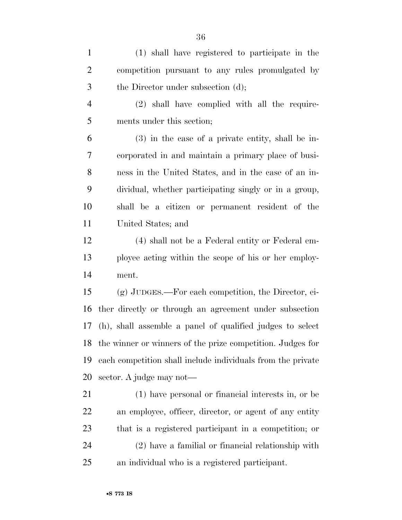| $\mathbf{1}$   | (1) shall have registered to participate in the               |
|----------------|---------------------------------------------------------------|
| $\overline{2}$ | competition pursuant to any rules promulgated by              |
| 3              | the Director under subsection (d);                            |
| $\overline{4}$ | (2) shall have complied with all the require-                 |
| 5              | ments under this section;                                     |
| 6              | $(3)$ in the case of a private entity, shall be in-           |
| 7              | corporated in and maintain a primary place of busi-           |
| $8\,$          | ness in the United States, and in the case of an in-          |
| 9              | dividual, whether participating singly or in a group,         |
| 10             | shall be a citizen or permanent resident of the               |
| 11             | United States; and                                            |
| 12             | (4) shall not be a Federal entity or Federal em-              |
| 13             | ployee acting within the scope of his or her employ-          |
| 14             | ment.                                                         |
| 15             | (g) JUDGES.—For each competition, the Director, ei-           |
| 16             | ther directly or through an agreement under subsection        |
| 17             | (h), shall assemble a panel of qualified judges to select     |
|                | 18 the winner or winners of the prize competition. Judges for |
| 19             | each competition shall include individuals from the private   |
| 20             | sector. A judge may not—                                      |
| 21             | (1) have personal or financial interests in, or be            |
| 22             | an employee, officer, director, or agent of any entity        |
| 23             | that is a registered participant in a competition; or         |
| 24             | (2) have a familial or financial relationship with            |
| 25             | an individual who is a registered participant.                |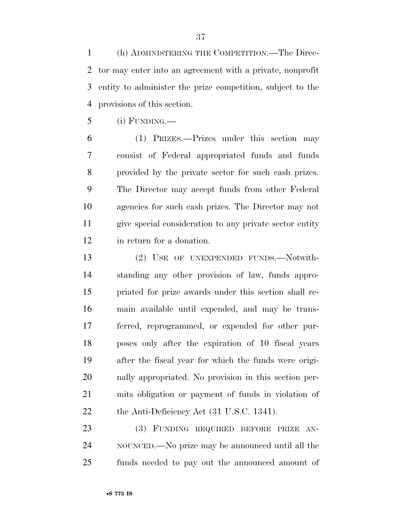(h) ADMINISTERING THE COMPETITION.—The Direc- tor may enter into an agreement with a private, nonprofit entity to administer the prize competition, subject to the provisions of this section.

(i) FUNDING.—

 (1) PRIZES.—Prizes under this section may consist of Federal appropriated funds and funds provided by the private sector for such cash prizes. The Director may accept funds from other Federal agencies for such cash prizes. The Director may not give special consideration to any private sector entity in return for a donation.

 (2) USE OF UNEXPENDED FUNDS.—Notwith- standing any other provision of law, funds appro- priated for prize awards under this section shall re- main available until expended, and may be trans- ferred, reprogrammed, or expended for other pur- poses only after the expiration of 10 fiscal years after the fiscal year for which the funds were origi- nally appropriated. No provision in this section per- mits obligation or payment of funds in violation of 22 the Anti-Deficiency Act (31 U.S.C. 1341).

 (3) FUNDING REQUIRED BEFORE PRIZE AN- NOUNCED.—No prize may be announced until all the funds needed to pay out the announced amount of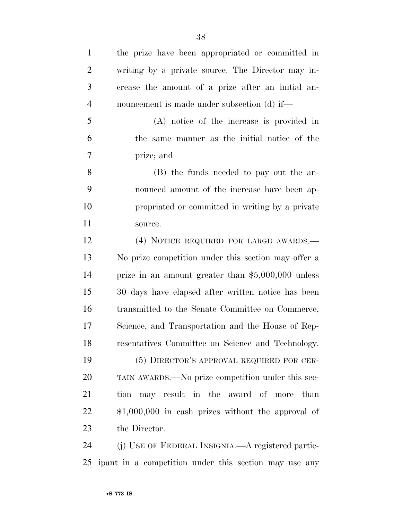| $\mathbf{1}$   | the prize have been appropriated or committed in    |
|----------------|-----------------------------------------------------|
| $\overline{2}$ | writing by a private source. The Director may in-   |
| 3              | crease the amount of a prize after an initial an-   |
| $\overline{4}$ | nouncement is made under subsection (d) if—         |
| 5              | (A) notice of the increase is provided in           |
| 6              | the same manner as the initial notice of the        |
| 7              | prize; and                                          |
| 8              | (B) the funds needed to pay out the an-             |
| 9              | nounced amount of the increase have been ap-        |
| 10             | propriated or committed in writing by a private     |
| 11             | source.                                             |
| 12             | (4) NOTICE REQUIRED FOR LARGE AWARDS.—              |
| 13             | No prize competition under this section may offer a |
| 14             | prize in an amount greater than $$5,000,000$ unless |
| 15             | 30 days have elapsed after written notice has been  |
| 16             | transmitted to the Senate Committee on Commerce,    |
| 17             | Science, and Transportation and the House of Rep-   |
| 18             | resentatives Committee on Science and Technology.   |
| 19             | (5) DIRECTOR'S APPROVAL REQUIRED FOR CER-           |
| 20             | TAIN AWARDS.—No prize competition under this sec-   |
| 21             | may result in the award of more than<br>tion        |
| 22             | $$1,000,000$ in cash prizes without the approval of |
| 23             | the Director.                                       |
| 24             | (j) USE OF FEDERAL INSIGNIA.—A registered partic-   |

ipant in a competition under this section may use any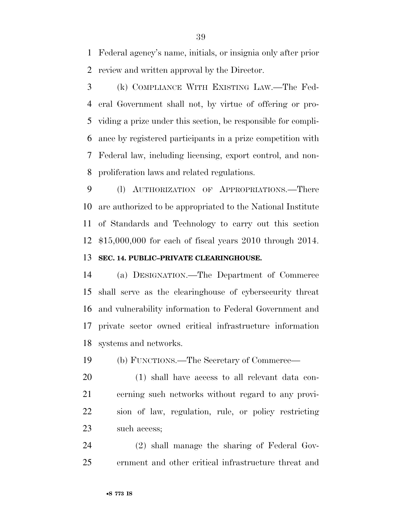Federal agency's name, initials, or insignia only after prior review and written approval by the Director.

 (k) COMPLIANCE WITH EXISTING LAW.—The Fed- eral Government shall not, by virtue of offering or pro- viding a prize under this section, be responsible for compli- ance by registered participants in a prize competition with Federal law, including licensing, export control, and non-proliferation laws and related regulations.

 (l) AUTHORIZATION OF APPROPRIATIONS.—There are authorized to be appropriated to the National Institute of Standards and Technology to carry out this section \$15,000,000 for each of fiscal years 2010 through 2014. **SEC. 14. PUBLIC–PRIVATE CLEARINGHOUSE.** 

 (a) DESIGNATION.—The Department of Commerce shall serve as the clearinghouse of cybersecurity threat and vulnerability information to Federal Government and private sector owned critical infrastructure information systems and networks.

(b) FUNCTIONS.—The Secretary of Commerce—

 (1) shall have access to all relevant data con- cerning such networks without regard to any provi- sion of law, regulation, rule, or policy restricting such access;

 (2) shall manage the sharing of Federal Gov-ernment and other critical infrastructure threat and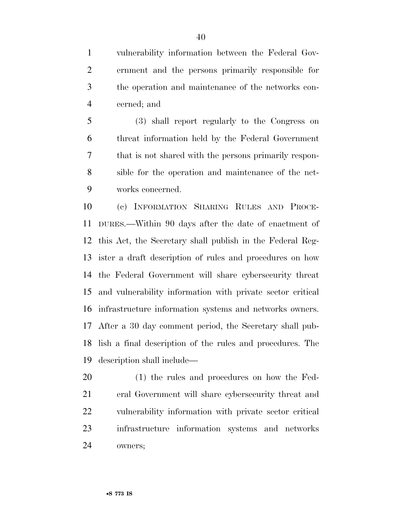vulnerability information between the Federal Gov- ernment and the persons primarily responsible for the operation and maintenance of the networks con-cerned; and

 (3) shall report regularly to the Congress on threat information held by the Federal Government that is not shared with the persons primarily respon- sible for the operation and maintenance of the net-works concerned.

 (c) INFORMATION SHARING RULES AND PROCE- DURES.—Within 90 days after the date of enactment of this Act, the Secretary shall publish in the Federal Reg- ister a draft description of rules and procedures on how the Federal Government will share cybersecurity threat and vulnerability information with private sector critical infrastructure information systems and networks owners. After a 30 day comment period, the Secretary shall pub- lish a final description of the rules and procedures. The description shall include—

 (1) the rules and procedures on how the Fed- eral Government will share cybersecurity threat and vulnerability information with private sector critical infrastructure information systems and networks owners;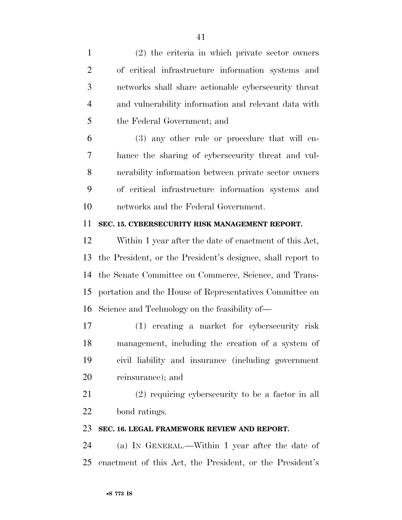| $\mathbf{1}$   | (2) the criteria in which private sector owners             |
|----------------|-------------------------------------------------------------|
| $\overline{2}$ | of critical infrastructure information systems and          |
| 3              | networks shall share actionable cybersecurity threat        |
| $\overline{4}$ | and vulnerability information and relevant data with        |
| 5              | the Federal Government; and                                 |
| 6              | (3) any other rule or procedure that will en-               |
| 7              | hance the sharing of cybersecurity threat and vul-          |
| 8              | nerability information between private sector owners        |
| 9              | of critical infrastructure information systems and          |
| 10             | networks and the Federal Government.                        |
| 11             | SEC. 15. CYBERSECURITY RISK MANAGEMENT REPORT.              |
| 12             | Within 1 year after the date of enactment of this Act,      |
| 13             | the President, or the President's designee, shall report to |
| 14             | the Senate Committee on Commerce, Science, and Trans-       |
| 15             | portation and the House of Representatives Committee on     |
| 16             | Science and Technology on the feasibility of—               |
| 17             | (1) creating a market for cybersecurity risk                |
| 18             | management, including the creation of a system of           |
| 19             | civil liability and insurance (including government         |
| 20             | reinsurance); and                                           |
| 21             | $(2)$ requiring cybers equality to be a factor in all       |
| 22             | bond ratings.                                               |
| 23             | SEC. 16. LEGAL FRAMEWORK REVIEW AND REPORT.                 |
| 24             | (a) IN GENERAL.—Within 1 year after the date of             |
| 25             | enactment of this Act, the President, or the President's    |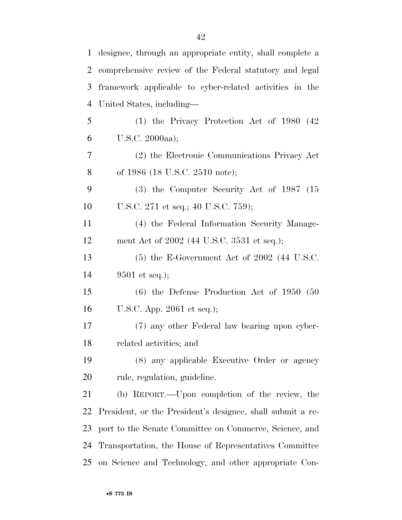| $\mathbf{1}$ | designee, through an appropriate entity, shall complete a  |
|--------------|------------------------------------------------------------|
| 2            | comprehensive review of the Federal statutory and legal    |
| 3            | framework applicable to cyber-related activities in the    |
| 4            | United States, including—                                  |
| 5            | $(1)$ the Privacy Protection Act of 1980 $(42)$            |
| 6            | U.S.C. 2000aa);                                            |
| 7            | (2) the Electronic Communications Privacy Act              |
| 8            | of 1986 (18 U.S.C. 2510 note);                             |
| 9            | $(3)$ the Computer Security Act of 1987 $(15)$             |
| 10           | U.S.C. 271 et seq.; 40 U.S.C. 759);                        |
| 11           | (4) the Federal Information Security Manage-               |
| 12           | ment Act of 2002 (44 U.S.C. 3531 et seq.);                 |
| 13           | $(5)$ the E-Government Act of 2002 (44 U.S.C.              |
| 14           | $9501$ et seq.);                                           |
| 15           | $(6)$ the Defense Production Act of 1950 (50               |
| 16           | U.S.C. App. $2061$ et seq.);                               |
| 17           | (7) any other Federal law bearing upon cyber-              |
| 18           | related activities; and                                    |
| 19           | (8) any applicable Executive Order or agency               |
| 20           | rule, regulation, guideline.                               |
| 21           | (b) REPORT.—Upon completion of the review, the             |
| 22           | President, or the President's designee, shall submit a re- |
| 23           | port to the Senate Committee on Commerce, Science, and     |
| 24           | Transportation, the House of Representatives Committee     |
| 25           | on Science and Technology, and other appropriate Con-      |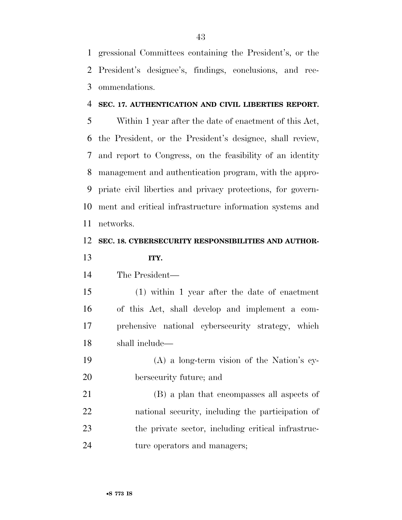gressional Committees containing the President's, or the President's designee's, findings, conclusions, and rec-ommendations.

### **SEC. 17. AUTHENTICATION AND CIVIL LIBERTIES REPORT.**

 Within 1 year after the date of enactment of this Act, the President, or the President's designee, shall review, and report to Congress, on the feasibility of an identity management and authentication program, with the appro- priate civil liberties and privacy protections, for govern- ment and critical infrastructure information systems and networks.

### **SEC. 18. CYBERSECURITY RESPONSIBILITIES AND AUTHOR-ITY.**

The President—

 (1) within 1 year after the date of enactment of this Act, shall develop and implement a com- prehensive national cybersecurity strategy, which shall include—

 (A) a long-term vision of the Nation's cy-bersecurity future; and

 (B) a plan that encompasses all aspects of national security, including the participation of the private sector, including critical infrastruc-ture operators and managers;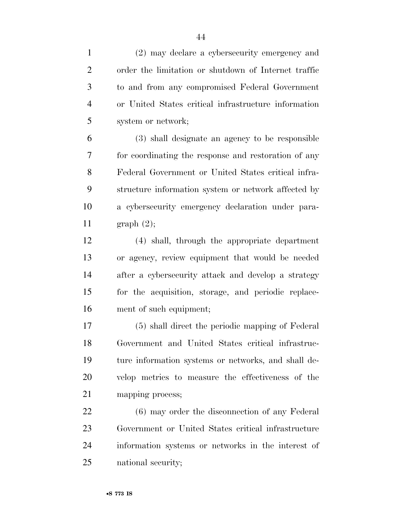(2) may declare a cybersecurity emergency and order the limitation or shutdown of Internet traffic to and from any compromised Federal Government or United States critical infrastructure information system or network;

 (3) shall designate an agency to be responsible for coordinating the response and restoration of any Federal Government or United States critical infra- structure information system or network affected by a cybersecurity emergency declaration under para-graph (2);

 (4) shall, through the appropriate department or agency, review equipment that would be needed after a cybersecurity attack and develop a strategy for the acquisition, storage, and periodic replace-ment of such equipment;

 (5) shall direct the periodic mapping of Federal Government and United States critical infrastruc- ture information systems or networks, and shall de- velop metrics to measure the effectiveness of the mapping process;

 (6) may order the disconnection of any Federal Government or United States critical infrastructure information systems or networks in the interest of national security;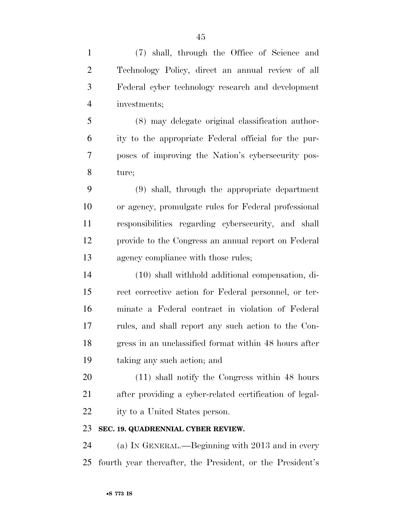| $\mathbf{1}$   | (7) shall, through the Office of Science and              |
|----------------|-----------------------------------------------------------|
| $\overline{2}$ | Technology Policy, direct an annual review of all         |
| 3              | Federal cyber technology research and development         |
| $\overline{4}$ | investments;                                              |
| 5              | (8) may delegate original classification author-          |
| 6              | ity to the appropriate Federal official for the pur-      |
| 7              | poses of improving the Nation's cybersecurity pos-        |
| 8              | ture;                                                     |
| 9              | (9) shall, through the appropriate department             |
| 10             | or agency, promulgate rules for Federal professional      |
| 11             | responsibilities regarding cybersecurity, and shall       |
| 12             | provide to the Congress an annual report on Federal       |
| 13             | agency compliance with those rules;                       |
| 14             | (10) shall withhold additional compensation, di-          |
| 15             | rect corrective action for Federal personnel, or ter-     |
| 16             | minate a Federal contract in violation of Federal         |
| 17             | rules, and shall report any such action to the Con-       |
| 18             | gress in an unclassified format within 48 hours after     |
| 19             | taking any such action; and                               |
| 20             | $(11)$ shall notify the Congress within 48 hours          |
| 21             | after providing a cyber-related certification of legal-   |
| 22             | ity to a United States person.                            |
| 23             | SEC. 19. QUADRENNIAL CYBER REVIEW.                        |
| 24             | (a) IN GENERAL.—Beginning with 2013 and in every          |
| 25             | fourth year thereafter, the President, or the President's |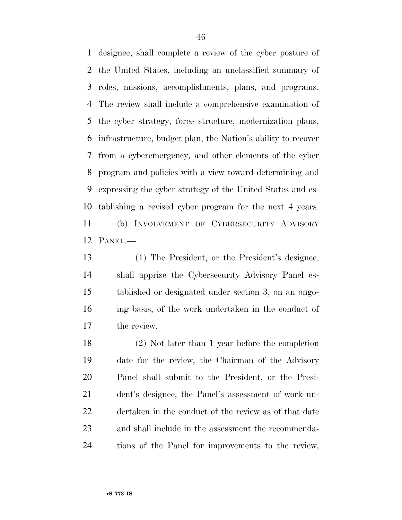designee, shall complete a review of the cyber posture of the United States, including an unclassified summary of roles, missions, accomplishments, plans, and programs. The review shall include a comprehensive examination of the cyber strategy, force structure, modernization plans, infrastructure, budget plan, the Nation's ability to recover from a cyberemergency, and other elements of the cyber program and policies with a view toward determining and expressing the cyber strategy of the United States and es- tablishing a revised cyber program for the next 4 years. (b) INVOLVEMENT OF CYBERSECURITY ADVISORY PANEL.—

 (1) The President, or the President's designee, shall apprise the Cybersecurity Advisory Panel es- tablished or designated under section 3, on an ongo- ing basis, of the work undertaken in the conduct of the review.

 (2) Not later than 1 year before the completion date for the review, the Chairman of the Advisory Panel shall submit to the President, or the Presi- dent's designee, the Panel's assessment of work un- dertaken in the conduct of the review as of that date and shall include in the assessment the recommenda-tions of the Panel for improvements to the review,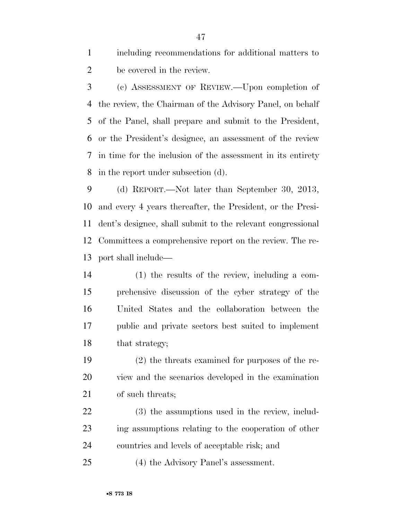including recommendations for additional matters to be covered in the review.

 (c) ASSESSMENT OF REVIEW.—Upon completion of the review, the Chairman of the Advisory Panel, on behalf of the Panel, shall prepare and submit to the President, or the President's designee, an assessment of the review in time for the inclusion of the assessment in its entirety in the report under subsection (d).

 (d) REPORT.—Not later than September 30, 2013, and every 4 years thereafter, the President, or the Presi- dent's designee, shall submit to the relevant congressional Committees a comprehensive report on the review. The re-port shall include—

 (1) the results of the review, including a com- prehensive discussion of the cyber strategy of the United States and the collaboration between the public and private sectors best suited to implement 18 that strategy;

 (2) the threats examined for purposes of the re- view and the scenarios developed in the examination of such threats;

 (3) the assumptions used in the review, includ- ing assumptions relating to the cooperation of other countries and levels of acceptable risk; and

(4) the Advisory Panel's assessment.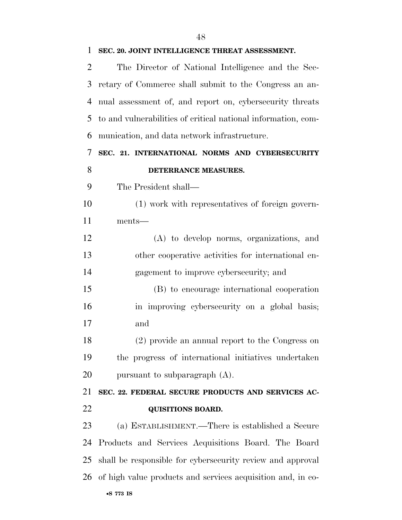| $\overline{2}$ | The Director of National Intelligence and the Sec-            |
|----------------|---------------------------------------------------------------|
| 3              | retary of Commerce shall submit to the Congress an an-        |
| $\overline{4}$ | nual assessment of, and report on, cybersecurity threats      |
| 5              | to and vulnerabilities of critical national information, com- |
| 6              | munication, and data network infrastructure.                  |
| 7              | SEC. 21. INTERNATIONAL NORMS AND CYBERSECURITY                |
| 8              | DETERRANCE MEASURES.                                          |
| 9              | The President shall—                                          |
| 10             | (1) work with representatives of foreign govern-              |
| 11             | ments—                                                        |
| 12             | (A) to develop norms, organizations, and                      |
| 13             | other cooperative activities for international en-            |
| 14             | gagement to improve cybersecurity; and                        |
| 15             | (B) to encourage international cooperation                    |
| 16             | in improving cybersecurity on a global basis;                 |
| 17             | and                                                           |
| 18             | (2) provide an annual report to the Congress on               |
| 19             | the progress of international initiatives undertaken          |
| 20             | pursuant to subparagraph $(A)$ .                              |
| 21             | SEC. 22. FEDERAL SECURE PRODUCTS AND SERVICES AC-             |
| 22             | <b>QUISITIONS BOARD.</b>                                      |
| 23             | (a) ESTABLISHMENT.—There is established a Secure              |
| 24             | Products and Services Acquisitions Board. The Board           |
| 25             | shall be responsible for cybersecurity review and approval    |
| 26             | of high value products and services acquisition and, in co-   |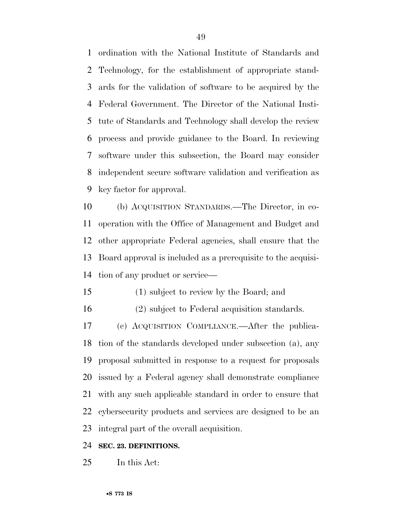ordination with the National Institute of Standards and Technology, for the establishment of appropriate stand- ards for the validation of software to be acquired by the Federal Government. The Director of the National Insti- tute of Standards and Technology shall develop the review process and provide guidance to the Board. In reviewing software under this subsection, the Board may consider independent secure software validation and verification as key factor for approval.

 (b) ACQUISITION STANDARDS.—The Director, in co- operation with the Office of Management and Budget and other appropriate Federal agencies, shall ensure that the Board approval is included as a prerequisite to the acquisi-tion of any product or service—

- (1) subject to review by the Board; and
- (2) subject to Federal acquisition standards.

 (c) ACQUISITION COMPLIANCE.—After the publica- tion of the standards developed under subsection (a), any proposal submitted in response to a request for proposals issued by a Federal agency shall demonstrate compliance with any such applicable standard in order to ensure that cybersecurity products and services are designed to be an integral part of the overall acquisition.

#### **SEC. 23. DEFINITIONS.**

In this Act: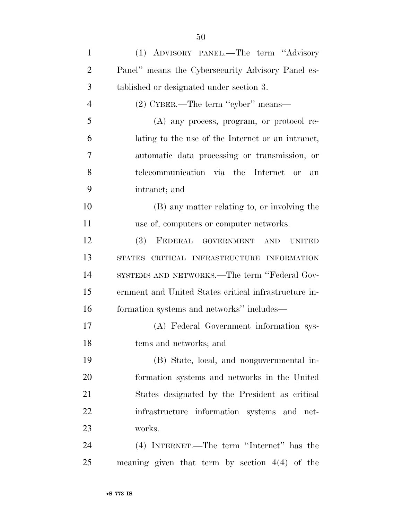| $\mathbf{1}$   | (1) ADVISORY PANEL.—The term "Advisory                   |
|----------------|----------------------------------------------------------|
| $\overline{2}$ | Panel" means the Cybersecurity Advisory Panel es-        |
| 3              | tablished or designated under section 3.                 |
| $\overline{4}$ | (2) CYBER.—The term "cyber" means—                       |
| 5              | $(A)$ any process, program, or protocol re-              |
| 6              | lating to the use of the Internet or an intranet,        |
| 7              | automatic data processing or transmission, or            |
| 8              | telecommunication via the Internet or<br>an              |
| 9              | intranet; and                                            |
| 10             | (B) any matter relating to, or involving the             |
| 11             | use of, computers or computer networks.                  |
| 12             | (3)<br>FEDERAL GOVERNMENT<br><b>AND</b><br><b>UNITED</b> |
| 13             | STATES CRITICAL INFRASTRUCTURE INFORMATION               |
| 14             | SYSTEMS AND NETWORKS.—The term "Federal Gov-             |
| 15             | ernment and United States critical infrastructure in-    |
| 16             | formation systems and networks" includes—                |
| 17             | (A) Federal Government information sys-                  |
| 18             | tems and networks; and                                   |
| 19             | (B) State, local, and nongovernmental in-                |
| 20             | formation systems and networks in the United             |
| 21             | States designated by the President as critical           |
| 22             | infrastructure information systems and net-              |
| 23             | works.                                                   |
| 24             | (4) INTERNET.—The term "Internet" has the                |
| 25             | meaning given that term by section $4(4)$ of the         |